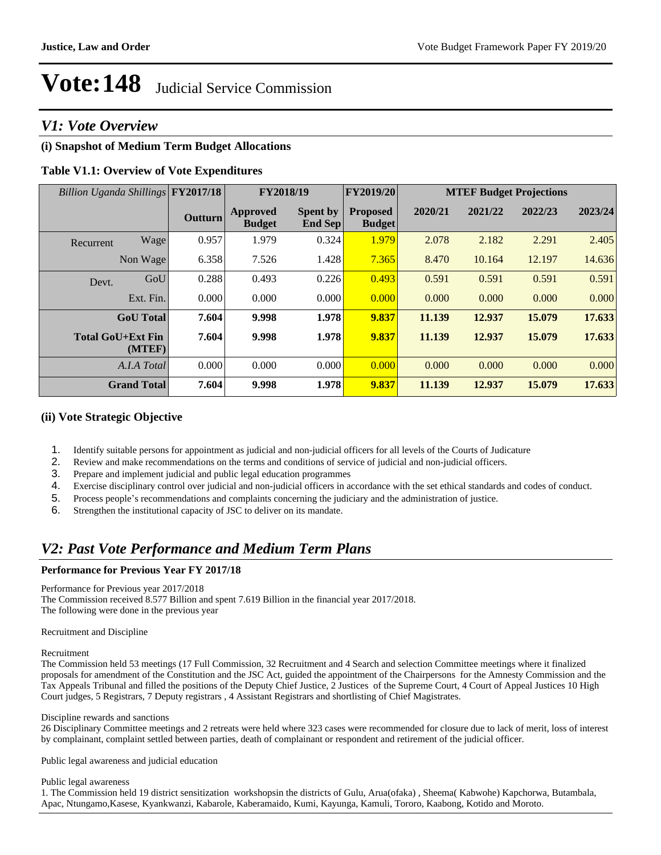## *V1: Vote Overview*

## **(i) Snapshot of Medium Term Budget Allocations**

### **Table V1.1: Overview of Vote Expenditures**

| Billion Uganda Shillings FY2017/18 |                    |                | FY2018/19                 |                                   | FY2019/20                        |         | <b>MTEF Budget Projections</b> |         |         |  |
|------------------------------------|--------------------|----------------|---------------------------|-----------------------------------|----------------------------------|---------|--------------------------------|---------|---------|--|
|                                    |                    | <b>Outturn</b> | Approved<br><b>Budget</b> | <b>Spent by</b><br><b>End Sep</b> | <b>Proposed</b><br><b>Budget</b> | 2020/21 | 2021/22                        | 2022/23 | 2023/24 |  |
| Recurrent                          | Wage               | 0.957          | 1.979                     | 0.324                             | 1.979                            | 2.078   | 2.182                          | 2.291   | 2.405   |  |
|                                    | Non Wage           | 6.358          | 7.526                     | 1.428                             | 7.365                            | 8.470   | 10.164                         | 12.197  | 14.636  |  |
| Devt.                              | GoU                | 0.288          | 0.493                     | 0.226                             | 0.493                            | 0.591   | 0.591                          | 0.591   | 0.591   |  |
|                                    | Ext. Fin.          | 0.000          | 0.000                     | 0.000                             | 0.000                            | 0.000   | 0.000                          | 0.000   | 0.000   |  |
|                                    | <b>GoU</b> Total   | 7.604          | 9.998                     | 1.978                             | 9.837                            | 11.139  | 12.937                         | 15.079  | 17.633  |  |
| <b>Total GoU+Ext Fin</b>           | (MTEF)             | 7.604          | 9.998                     | 1.978                             | 9.837                            | 11.139  | 12.937                         | 15.079  | 17.633  |  |
|                                    | A.I.A Total        | 0.000          | 0.000                     | 0.000                             | 0.000                            | 0.000   | 0.000                          | 0.000   | 0.000   |  |
|                                    | <b>Grand Total</b> | 7.604          | 9.998                     | 1.978                             | 9.837                            | 11.139  | 12.937                         | 15.079  | 17.633  |  |

### **(ii) Vote Strategic Objective**

- 1. Identify suitable persons for appointment as judicial and non-judicial officers for all levels of the Courts of Judicature
- 2. Review and make recommendations on the terms and conditions of service of judicial and non-judicial officers.
- 3. Prepare and implement judicial and public legal education programmes
- 4. Exercise disciplinary control over judicial and non-judicial officers in accordance with the set ethical standards and codes of conduct.
- 5. Process people's recommendations and complaints concerning the judiciary and the administration of justice.
- 6. Strengthen the institutional capacity of JSC to deliver on its mandate.

## *V2: Past Vote Performance and Medium Term Plans*

#### **Performance for Previous Year FY 2017/18**

#### Performance for Previous year 2017/2018

The Commission received 8.577 Billion and spent 7.619 Billion in the financial year 2017/2018. The following were done in the previous year

#### Recruitment and Discipline

#### Recruitment

The Commission held 53 meetings (17 Full Commission, 32 Recruitment and 4 Search and selection Committee meetings where it finalized proposals for amendment of the Constitution and the JSC Act, guided the appointment of the Chairpersons for the Amnesty Commission and the Tax Appeals Tribunal and filled the positions of the Deputy Chief Justice, 2 Justices of the Supreme Court, 4 Court of Appeal Justices 10 High Court judges, 5 Registrars, 7 Deputy registrars , 4 Assistant Registrars and shortlisting of Chief Magistrates.

#### Discipline rewards and sanctions

26 Disciplinary Committee meetings and 2 retreats were held where 323 cases were recommended for closure due to lack of merit, loss of interest by complainant, complaint settled between parties, death of complainant or respondent and retirement of the judicial officer.

Public legal awareness and judicial education

#### Public legal awareness

1. The Commission held 19 district sensitization workshopsin the districts of Gulu, Arua(ofaka) , Sheema( Kabwohe) Kapchorwa, Butambala, Apac, Ntungamo,Kasese, Kyankwanzi, Kabarole, Kaberamaido, Kumi, Kayunga, Kamuli, Tororo, Kaabong, Kotido and Moroto.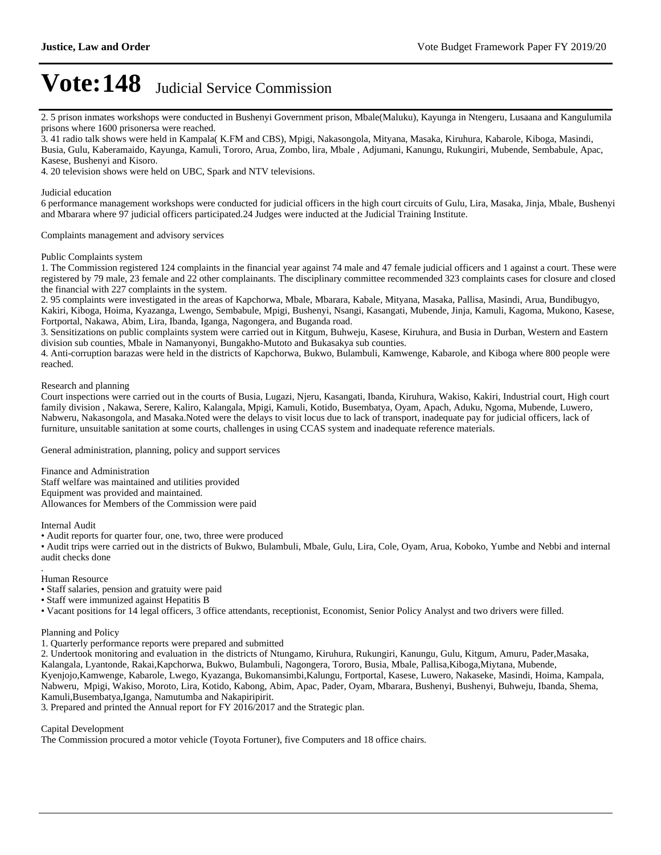2. 5 prison inmates workshops were conducted in Bushenyi Government prison, Mbale(Maluku), Kayunga in Ntengeru, Lusaana and Kangulumila prisons where 1600 prisonersa were reached.

3. 41 radio talk shows were held in Kampala( K.FM and CBS), Mpigi, Nakasongola, Mityana, Masaka, Kiruhura, Kabarole, Kiboga, Masindi, Busia, Gulu, Kaberamaido, Kayunga, Kamuli, Tororo, Arua, Zombo, lira, Mbale , Adjumani, Kanungu, Rukungiri, Mubende, Sembabule, Apac, Kasese, Bushenyi and Kisoro.

4. 20 television shows were held on UBC, Spark and NTV televisions.

Judicial education

6 performance management workshops were conducted for judicial officers in the high court circuits of Gulu, Lira, Masaka, Jinja, Mbale, Bushenyi and Mbarara where 97 judicial officers participated.24 Judges were inducted at the Judicial Training Institute.

Complaints management and advisory services

#### Public Complaints system

1. The Commission registered 124 complaints in the financial year against 74 male and 47 female judicial officers and 1 against a court. These were registered by 79 male, 23 female and 22 other complainants. The disciplinary committee recommended 323 complaints cases for closure and closed the financial with 227 complaints in the system.

2. 95 complaints were investigated in the areas of Kapchorwa, Mbale, Mbarara, Kabale, Mityana, Masaka, Pallisa, Masindi, Arua, Bundibugyo, Kakiri, Kiboga, Hoima, Kyazanga, Lwengo, Sembabule, Mpigi, Bushenyi, Nsangi, Kasangati, Mubende, Jinja, Kamuli, Kagoma, Mukono, Kasese, Fortportal, Nakawa, Abim, Lira, Ibanda, Iganga, Nagongera, and Buganda road.

3. Sensitizations on public complaints system were carried out in Kitgum, Buhweju, Kasese, Kiruhura, and Busia in Durban, Western and Eastern division sub counties, Mbale in Namanyonyi, Bungakho-Mutoto and Bukasakya sub counties.

4. Anti-corruption barazas were held in the districts of Kapchorwa, Bukwo, Bulambuli, Kamwenge, Kabarole, and Kiboga where 800 people were reached.

#### Research and planning

Court inspections were carried out in the courts of Busia, Lugazi, Njeru, Kasangati, Ibanda, Kiruhura, Wakiso, Kakiri, Industrial court, High court family division , Nakawa, Serere, Kaliro, Kalangala, Mpigi, Kamuli, Kotido, Busembatya, Oyam, Apach, Aduku, Ngoma, Mubende, Luwero, Nabweru, Nakasongola, and Masaka.Noted were the delays to visit locus due to lack of transport, inadequate pay for judicial officers, lack of furniture, unsuitable sanitation at some courts, challenges in using CCAS system and inadequate reference materials.

General administration, planning, policy and support services

Finance and Administration Staff welfare was maintained and utilities provided Equipment was provided and maintained. Allowances for Members of the Commission were paid

Internal Audit

Audit reports for quarter four, one, two, three were produced

Audit trips were carried out in the districts of Bukwo, Bulambuli, Mbale, Gulu, Lira, Cole, Oyam, Arua, Koboko, Yumbe and Nebbi and internal audit checks done

Human Resource

.

Staff salaries, pension and gratuity were paid

Staff were immunized against Hepatitis B

Vacant positions for 14 legal officers, 3 office attendants, receptionist, Economist, Senior Policy Analyst and two drivers were filled.

Planning and Policy

1. Quarterly performance reports were prepared and submitted

2. Undertook monitoring and evaluation in the districts of Ntungamo, Kiruhura, Rukungiri, Kanungu, Gulu, Kitgum, Amuru, Pader,Masaka, Kalangala, Lyantonde, Rakai,Kapchorwa, Bukwo, Bulambuli, Nagongera, Tororo, Busia, Mbale, Pallisa,Kiboga,Miytana, Mubende, Kyenjojo,Kamwenge, Kabarole, Lwego, Kyazanga, Bukomansimbi,Kalungu, Fortportal, Kasese, Luwero, Nakaseke, Masindi, Hoima, Kampala, Nabweru, Mpigi, Wakiso, Moroto, Lira, Kotido, Kabong, Abim, Apac, Pader, Oyam, Mbarara, Bushenyi, Bushenyi, Buhweju, Ibanda, Shema, Kamuli,Busembatya,Iganga, Namutumba and Nakapiripirit.

3. Prepared and printed the Annual report for FY 2016/2017 and the Strategic plan.

#### Capital Development

The Commission procured a motor vehicle (Toyota Fortuner), five Computers and 18 office chairs.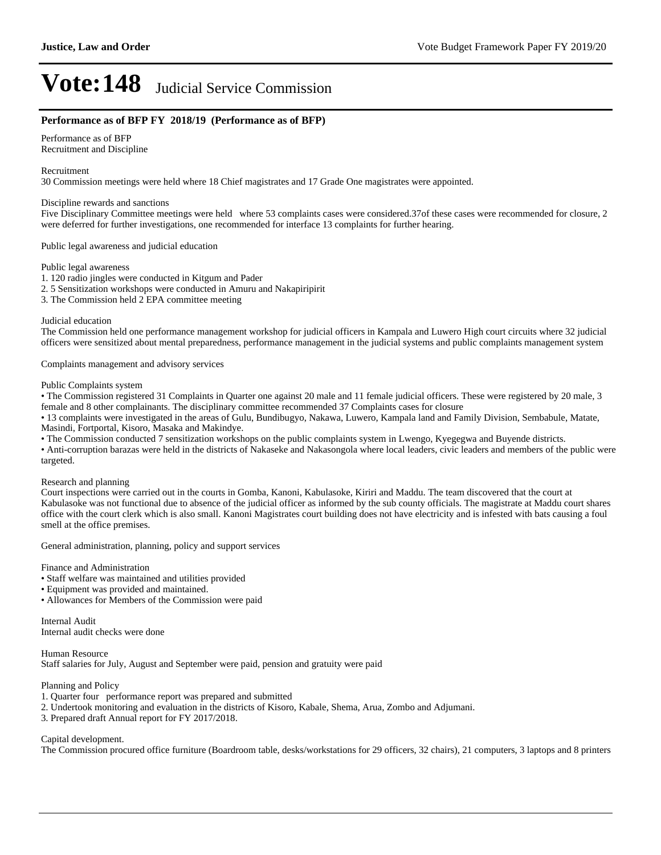#### **Performance as of BFP FY 2018/19 (Performance as of BFP)**

Performance as of BFP Recruitment and Discipline

Recruitment

30 Commission meetings were held where 18 Chief magistrates and 17 Grade One magistrates were appointed.

#### Discipline rewards and sanctions

Five Disciplinary Committee meetings were held where 53 complaints cases were considered.37of these cases were recommended for closure, 2 were deferred for further investigations, one recommended for interface 13 complaints for further hearing.

Public legal awareness and judicial education

Public legal awareness

- 1. 120 radio jingles were conducted in Kitgum and Pader
- 2. 5 Sensitization workshops were conducted in Amuru and Nakapiripirit
- 3. The Commission held 2 EPA committee meeting

#### Judicial education

The Commission held one performance management workshop for judicial officers in Kampala and Luwero High court circuits where 32 judicial officers were sensitized about mental preparedness, performance management in the judicial systems and public complaints management system

Complaints management and advisory services

Public Complaints system

• The Commission registered 31 Complaints in Quarter one against 20 male and 11 female judicial officers. These were registered by 20 male, 3 female and 8 other complainants. The disciplinary committee recommended 37 Complaints cases for closure

13 complaints were investigated in the areas of Gulu, Bundibugyo, Nakawa, Luwero, Kampala land and Family Division, Sembabule, Matate, Masindi, Fortportal, Kisoro, Masaka and Makindye.

The Commission conducted 7 sensitization workshops on the public complaints system in Lwengo, Kyegegwa and Buyende districts.

Anti-corruption barazas were held in the districts of Nakaseke and Nakasongola where local leaders, civic leaders and members of the public were targeted.

#### Research and planning

Court inspections were carried out in the courts in Gomba, Kanoni, Kabulasoke, Kiriri and Maddu. The team discovered that the court at Kabulasoke was not functional due to absence of the judicial officer as informed by the sub county officials. The magistrate at Maddu court shares office with the court clerk which is also small. Kanoni Magistrates court building does not have electricity and is infested with bats causing a foul smell at the office premises.

General administration, planning, policy and support services

Finance and Administration

- Staff welfare was maintained and utilities provided
- Equipment was provided and maintained.
- Allowances for Members of the Commission were paid

Internal Audit Internal audit checks were done

Human Resource Staff salaries for July, August and September were paid, pension and gratuity were paid

Planning and Policy

- 1. Quarter four performance report was prepared and submitted
- 2. Undertook monitoring and evaluation in the districts of Kisoro, Kabale, Shema, Arua, Zombo and Adjumani.
- 3. Prepared draft Annual report for FY 2017/2018.

#### Capital development.

The Commission procured office furniture (Boardroom table, desks/workstations for 29 officers, 32 chairs), 21 computers, 3 laptops and 8 printers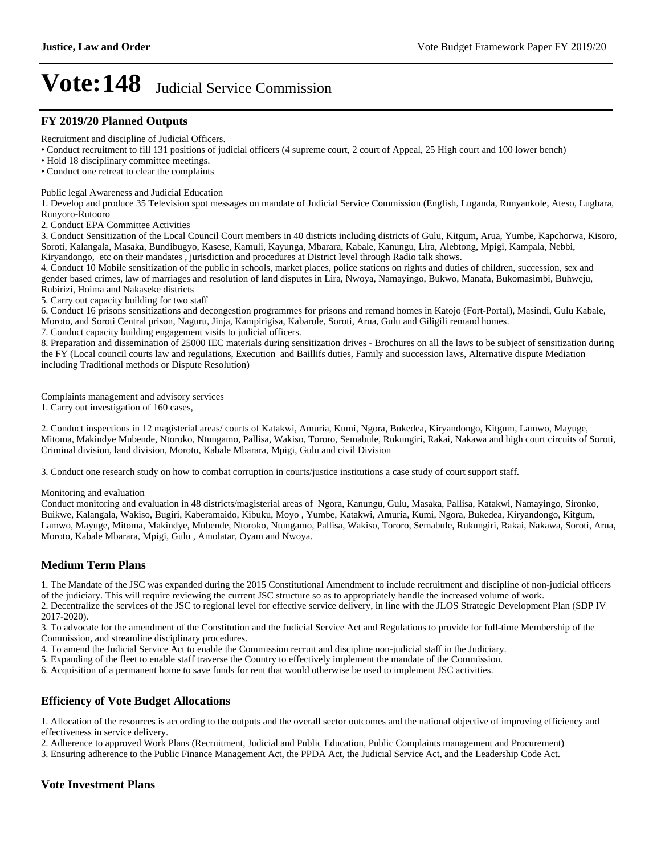### **FY 2019/20 Planned Outputs**

Recruitment and discipline of Judicial Officers.

Conduct recruitment to fill 131 positions of judicial officers (4 supreme court, 2 court of Appeal, 25 High court and 100 lower bench)

Hold 18 disciplinary committee meetings.

Conduct one retreat to clear the complaints

Public legal Awareness and Judicial Education

1. Develop and produce 35 Television spot messages on mandate of Judicial Service Commission (English, Luganda, Runyankole, Ateso, Lugbara, Runyoro-Rutooro

2. Conduct EPA Committee Activities

3. Conduct Sensitization of the Local Council Court members in 40 districts including districts of Gulu, Kitgum, Arua, Yumbe, Kapchorwa, Kisoro, Soroti, Kalangala, Masaka, Bundibugyo, Kasese, Kamuli, Kayunga, Mbarara, Kabale, Kanungu, Lira, Alebtong, Mpigi, Kampala, Nebbi, Kiryandongo, etc on their mandates , jurisdiction and procedures at District level through Radio talk shows.

4. Conduct 10 Mobile sensitization of the public in schools, market places, police stations on rights and duties of children, succession, sex and gender based crimes, law of marriages and resolution of land disputes in Lira, Nwoya, Namayingo, Bukwo, Manafa, Bukomasimbi, Buhweju, Rubirizi, Hoima and Nakaseke districts

5. Carry out capacity building for two staff

6. Conduct 16 prisons sensitizations and decongestion programmes for prisons and remand homes in Katojo (Fort-Portal), Masindi, Gulu Kabale, Moroto, and Soroti Central prison, Naguru, Jinja, Kampirigisa, Kabarole, Soroti, Arua, Gulu and Giligili remand homes.

7. Conduct capacity building engagement visits to judicial officers.

8. Preparation and dissemination of 25000 IEC materials during sensitization drives - Brochures on all the laws to be subject of sensitization during the FY (Local council courts law and regulations, Execution and Baillifs duties, Family and succession laws, Alternative dispute Mediation including Traditional methods or Dispute Resolution)

Complaints management and advisory services 1. Carry out investigation of 160 cases,

2. Conduct inspections in 12 magisterial areas/ courts of Katakwi, Amuria, Kumi, Ngora, Bukedea, Kiryandongo, Kitgum, Lamwo, Mayuge, Mitoma, Makindye Mubende, Ntoroko, Ntungamo, Pallisa, Wakiso, Tororo, Semabule, Rukungiri, Rakai, Nakawa and high court circuits of Soroti, Criminal division, land division, Moroto, Kabale Mbarara, Mpigi, Gulu and civil Division

3. Conduct one research study on how to combat corruption in courts/justice institutions a case study of court support staff.

#### Monitoring and evaluation

Conduct monitoring and evaluation in 48 districts/magisterial areas of Ngora, Kanungu, Gulu, Masaka, Pallisa, Katakwi, Namayingo, Sironko, Buikwe, Kalangala, Wakiso, Bugiri, Kaberamaido, Kibuku, Moyo , Yumbe, Katakwi, Amuria, Kumi, Ngora, Bukedea, Kiryandongo, Kitgum, Lamwo, Mayuge, Mitoma, Makindye, Mubende, Ntoroko, Ntungamo, Pallisa, Wakiso, Tororo, Semabule, Rukungiri, Rakai, Nakawa, Soroti, Arua, Moroto, Kabale Mbarara, Mpigi, Gulu , Amolatar, Oyam and Nwoya.

### **Medium Term Plans**

1. The Mandate of the JSC was expanded during the 2015 Constitutional Amendment to include recruitment and discipline of non-judicial officers of the judiciary. This will require reviewing the current JSC structure so as to appropriately handle the increased volume of work.

2. Decentralize the services of the JSC to regional level for effective service delivery, in line with the JLOS Strategic Development Plan (SDP IV 2017-2020).

3. To advocate for the amendment of the Constitution and the Judicial Service Act and Regulations to provide for full-time Membership of the Commission, and streamline disciplinary procedures.

4. To amend the Judicial Service Act to enable the Commission recruit and discipline non-judicial staff in the Judiciary.

5. Expanding of the fleet to enable staff traverse the Country to effectively implement the mandate of the Commission.

6. Acquisition of a permanent home to save funds for rent that would otherwise be used to implement JSC activities.

### **Efficiency of Vote Budget Allocations**

1. Allocation of the resources is according to the outputs and the overall sector outcomes and the national objective of improving efficiency and effectiveness in service delivery.

2. Adherence to approved Work Plans (Recruitment, Judicial and Public Education, Public Complaints management and Procurement)

3. Ensuring adherence to the Public Finance Management Act, the PPDA Act, the Judicial Service Act, and the Leadership Code Act.

### **Vote Investment Plans**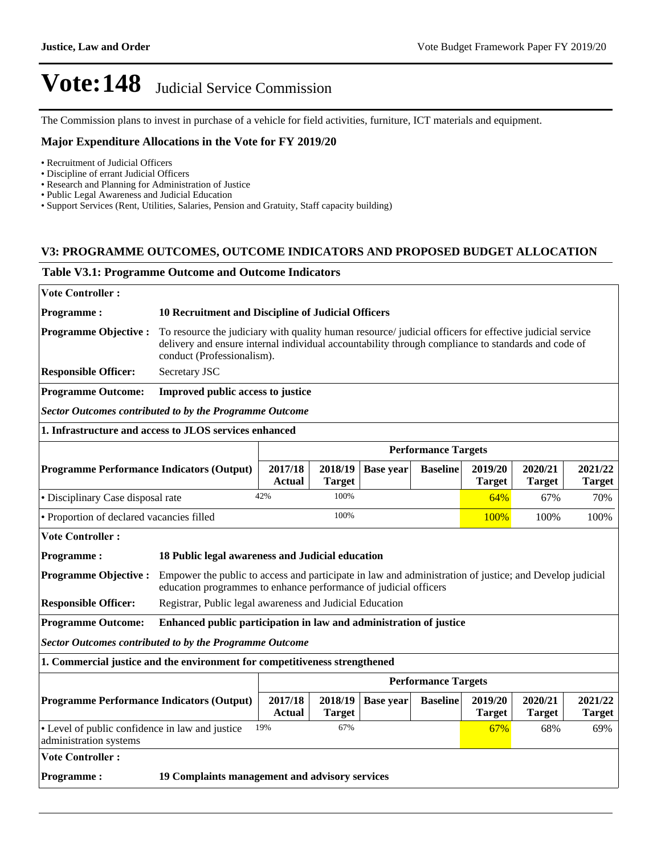The Commission plans to invest in purchase of a vehicle for field activities, furniture, ICT materials and equipment.

### **Major Expenditure Allocations in the Vote for FY 2019/20**

- Recruitment of Judicial Officers
- Discipline of errant Judicial Officers
- Research and Planning for Administration of Justice
- Public Legal Awareness and Judicial Education
- Support Services (Rent, Utilities, Salaries, Pension and Gratuity, Staff capacity building)

### **V3: PROGRAMME OUTCOMES, OUTCOME INDICATORS AND PROPOSED BUDGET ALLOCATION**

#### **Table V3.1: Programme Outcome and Outcome Indicators**

| <b>Vote Controller:</b>                                                   |                                                                                                                                                                                                                                             |                                                    |                          |                  |                            |                          |                          |                          |  |  |
|---------------------------------------------------------------------------|---------------------------------------------------------------------------------------------------------------------------------------------------------------------------------------------------------------------------------------------|----------------------------------------------------|--------------------------|------------------|----------------------------|--------------------------|--------------------------|--------------------------|--|--|
| <b>Programme:</b>                                                         |                                                                                                                                                                                                                                             | 10 Recruitment and Discipline of Judicial Officers |                          |                  |                            |                          |                          |                          |  |  |
| <b>Programme Objective:</b>                                               | To resource the judiciary with quality human resource/ judicial officers for effective judicial service<br>delivery and ensure internal individual accountability through compliance to standards and code of<br>conduct (Professionalism). |                                                    |                          |                  |                            |                          |                          |                          |  |  |
| <b>Responsible Officer:</b>                                               | Secretary JSC                                                                                                                                                                                                                               |                                                    |                          |                  |                            |                          |                          |                          |  |  |
| <b>Programme Outcome:</b>                                                 | Improved public access to justice                                                                                                                                                                                                           |                                                    |                          |                  |                            |                          |                          |                          |  |  |
| <b>Sector Outcomes contributed to by the Programme Outcome</b>            |                                                                                                                                                                                                                                             |                                                    |                          |                  |                            |                          |                          |                          |  |  |
| 1. Infrastructure and access to JLOS services enhanced                    |                                                                                                                                                                                                                                             |                                                    |                          |                  |                            |                          |                          |                          |  |  |
|                                                                           |                                                                                                                                                                                                                                             |                                                    |                          |                  | <b>Performance Targets</b> |                          |                          |                          |  |  |
| <b>Programme Performance Indicators (Output)</b>                          |                                                                                                                                                                                                                                             | 2017/18<br><b>Actual</b>                           | 2018/19<br><b>Target</b> | <b>Base year</b> | <b>Baseline</b>            | 2019/20<br><b>Target</b> | 2020/21<br><b>Target</b> | 2021/22<br><b>Target</b> |  |  |
| • Disciplinary Case disposal rate                                         |                                                                                                                                                                                                                                             | 42%                                                | 100%                     |                  |                            | 64%                      | 67%                      | 70%                      |  |  |
| • Proportion of declared vacancies filled                                 |                                                                                                                                                                                                                                             |                                                    | 100%                     |                  |                            | 100%                     | 100%                     | 100%                     |  |  |
| <b>Vote Controller:</b>                                                   |                                                                                                                                                                                                                                             |                                                    |                          |                  |                            |                          |                          |                          |  |  |
| <b>Programme:</b>                                                         | 18 Public legal awareness and Judicial education                                                                                                                                                                                            |                                                    |                          |                  |                            |                          |                          |                          |  |  |
| <b>Programme Objective:</b>                                               | Empower the public to access and participate in law and administration of justice; and Develop judicial<br>education programmes to enhance performance of judicial officers                                                                 |                                                    |                          |                  |                            |                          |                          |                          |  |  |
| <b>Responsible Officer:</b>                                               | Registrar, Public legal awareness and Judicial Education                                                                                                                                                                                    |                                                    |                          |                  |                            |                          |                          |                          |  |  |
| <b>Programme Outcome:</b>                                                 | Enhanced public participation in law and administration of justice                                                                                                                                                                          |                                                    |                          |                  |                            |                          |                          |                          |  |  |
| <b>Sector Outcomes contributed to by the Programme Outcome</b>            |                                                                                                                                                                                                                                             |                                                    |                          |                  |                            |                          |                          |                          |  |  |
|                                                                           | 1. Commercial justice and the environment for competitiveness strengthened                                                                                                                                                                  |                                                    |                          |                  |                            |                          |                          |                          |  |  |
|                                                                           |                                                                                                                                                                                                                                             |                                                    |                          |                  | <b>Performance Targets</b> |                          |                          |                          |  |  |
| <b>Programme Performance Indicators (Output)</b>                          |                                                                                                                                                                                                                                             | 2017/18<br><b>Actual</b>                           | 2018/19<br><b>Target</b> | <b>Base year</b> | <b>Baseline</b>            | 2019/20<br><b>Target</b> | 2020/21<br><b>Target</b> | 2021/22<br><b>Target</b> |  |  |
| • Level of public confidence in law and justice<br>administration systems |                                                                                                                                                                                                                                             | 19%                                                | 67%                      |                  |                            | 67%                      | 68%                      | 69%                      |  |  |
| <b>Vote Controller:</b>                                                   |                                                                                                                                                                                                                                             |                                                    |                          |                  |                            |                          |                          |                          |  |  |
| 19 Complaints management and advisory services<br><b>Programme:</b>       |                                                                                                                                                                                                                                             |                                                    |                          |                  |                            |                          |                          |                          |  |  |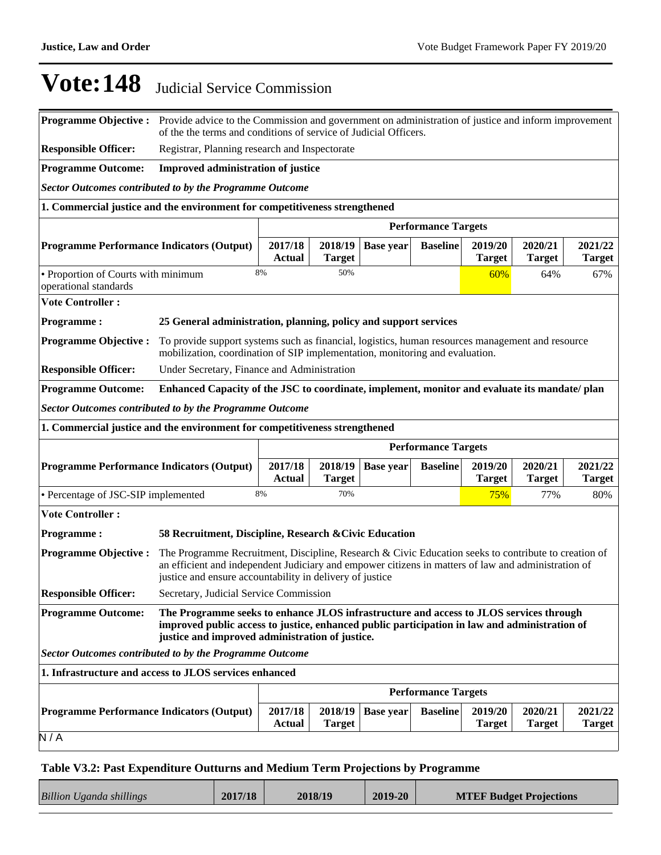| <b>Programme Objective:</b>                                                | Provide advice to the Commission and government on administration of justice and inform improvement<br>of the the terms and conditions of service of Judicial Officers.                                                                                                 |                          |                          |                  |                            |                          |                          |                          |
|----------------------------------------------------------------------------|-------------------------------------------------------------------------------------------------------------------------------------------------------------------------------------------------------------------------------------------------------------------------|--------------------------|--------------------------|------------------|----------------------------|--------------------------|--------------------------|--------------------------|
| <b>Responsible Officer:</b>                                                | Registrar, Planning research and Inspectorate                                                                                                                                                                                                                           |                          |                          |                  |                            |                          |                          |                          |
| <b>Programme Outcome:</b>                                                  | <b>Improved administration of justice</b>                                                                                                                                                                                                                               |                          |                          |                  |                            |                          |                          |                          |
| <b>Sector Outcomes contributed to by the Programme Outcome</b>             |                                                                                                                                                                                                                                                                         |                          |                          |                  |                            |                          |                          |                          |
| 1. Commercial justice and the environment for competitiveness strengthened |                                                                                                                                                                                                                                                                         |                          |                          |                  |                            |                          |                          |                          |
|                                                                            | <b>Performance Targets</b>                                                                                                                                                                                                                                              |                          |                          |                  |                            |                          |                          |                          |
| <b>Programme Performance Indicators (Output)</b>                           | 2020/21<br>2017/18<br>2018/19<br>2019/20<br><b>Base year</b><br><b>Baseline</b><br><b>Actual</b><br><b>Target</b><br><b>Target</b><br><b>Target</b>                                                                                                                     |                          |                          |                  |                            |                          | 2021/22<br><b>Target</b> |                          |
| • Proportion of Courts with minimum<br>operational standards               |                                                                                                                                                                                                                                                                         | 8%                       | 50%                      |                  |                            | 60%                      | 64%                      | 67%                      |
| <b>Vote Controller:</b>                                                    |                                                                                                                                                                                                                                                                         |                          |                          |                  |                            |                          |                          |                          |
| <b>Programme:</b>                                                          | 25 General administration, planning, policy and support services                                                                                                                                                                                                        |                          |                          |                  |                            |                          |                          |                          |
| <b>Programme Objective:</b>                                                | To provide support systems such as financial, logistics, human resources management and resource<br>mobilization, coordination of SIP implementation, monitoring and evaluation.                                                                                        |                          |                          |                  |                            |                          |                          |                          |
| <b>Responsible Officer:</b>                                                | Under Secretary, Finance and Administration                                                                                                                                                                                                                             |                          |                          |                  |                            |                          |                          |                          |
| <b>Programme Outcome:</b>                                                  | Enhanced Capacity of the JSC to coordinate, implement, monitor and evaluate its mandate/plan                                                                                                                                                                            |                          |                          |                  |                            |                          |                          |                          |
| <b>Sector Outcomes contributed to by the Programme Outcome</b>             |                                                                                                                                                                                                                                                                         |                          |                          |                  |                            |                          |                          |                          |
| 1. Commercial justice and the environment for competitiveness strengthened |                                                                                                                                                                                                                                                                         |                          |                          |                  |                            |                          |                          |                          |
|                                                                            |                                                                                                                                                                                                                                                                         |                          |                          |                  |                            |                          |                          |                          |
|                                                                            |                                                                                                                                                                                                                                                                         |                          |                          |                  | <b>Performance Targets</b> |                          |                          |                          |
| <b>Programme Performance Indicators (Output)</b>                           |                                                                                                                                                                                                                                                                         | 2017/18<br><b>Actual</b> | 2018/19<br><b>Target</b> | <b>Base year</b> | <b>Baseline</b>            | 2019/20<br><b>Target</b> | 2020/21<br><b>Target</b> | 2021/22<br><b>Target</b> |
| • Percentage of JSC-SIP implemented                                        |                                                                                                                                                                                                                                                                         | 8%                       | 70%                      |                  |                            | 75%                      | 77%                      | 80%                      |
| <b>Vote Controller:</b>                                                    |                                                                                                                                                                                                                                                                         |                          |                          |                  |                            |                          |                          |                          |
| <b>Programme:</b>                                                          | 58 Recruitment, Discipline, Research & Civic Education                                                                                                                                                                                                                  |                          |                          |                  |                            |                          |                          |                          |
| <b>Programme Objective:</b>                                                | The Programme Recruitment, Discipline, Research & Civic Education seeks to contribute to creation of<br>an efficient and independent Judiciary and empower citizens in matters of law and administration of<br>justice and ensure accountability in delivery of justice |                          |                          |                  |                            |                          |                          |                          |
| <b>Responsible Officer:</b>                                                | Secretary, Judicial Service Commission                                                                                                                                                                                                                                  |                          |                          |                  |                            |                          |                          |                          |
| <b>Programme Outcome:</b>                                                  | The Programme seeks to enhance JLOS infrastructure and access to JLOS services through<br>improved public access to justice, enhanced public participation in law and administration of<br>justice and improved administration of justice.                              |                          |                          |                  |                            |                          |                          |                          |
| <b>Sector Outcomes contributed to by the Programme Outcome</b>             |                                                                                                                                                                                                                                                                         |                          |                          |                  |                            |                          |                          |                          |
| 1. Infrastructure and access to JLOS services enhanced                     |                                                                                                                                                                                                                                                                         |                          |                          |                  |                            |                          |                          |                          |
|                                                                            |                                                                                                                                                                                                                                                                         |                          |                          |                  | <b>Performance Targets</b> |                          |                          |                          |
| <b>Programme Performance Indicators (Output)</b><br>N/A                    |                                                                                                                                                                                                                                                                         | 2017/18<br><b>Actual</b> | 2018/19<br><b>Target</b> | <b>Base year</b> | <b>Baseline</b>            | 2019/20<br><b>Target</b> | 2020/21<br><b>Target</b> | 2021/22<br><b>Target</b> |

## **Table V3.2: Past Expenditure Outturns and Medium Term Projections by Programme**

| <b>Billion Uganda shillings</b> | 2017/18 | 2018/19 | 2019-20 | <b>MTEF Budget Projections</b> |
|---------------------------------|---------|---------|---------|--------------------------------|
|                                 |         |         |         |                                |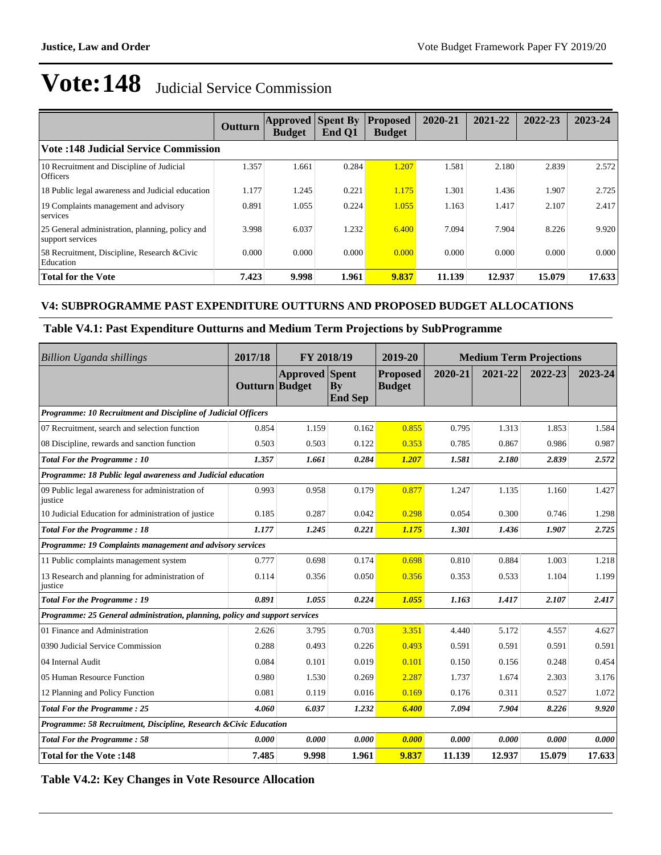|                                                                     | Outturn | <b>Approved Spent By</b><br><b>Budget</b> | End Q1 | <b>Proposed</b><br><b>Budget</b> | 2020-21 | 2021-22 | 2022-23 | 2023-24 |
|---------------------------------------------------------------------|---------|-------------------------------------------|--------|----------------------------------|---------|---------|---------|---------|
| <b>Vote:148 Judicial Service Commission</b>                         |         |                                           |        |                                  |         |         |         |         |
| 10 Recruitment and Discipline of Judicial<br><b>Officers</b>        | 1.357   | 1.661                                     | 0.284  | 1.207                            | 1.581   | 2.180   | 2.839   | 2.572   |
| 18 Public legal awareness and Judicial education                    | 1.177   | 1.245                                     | 0.221  | 1.175                            | 1.301   | 1.436   | 1.907   | 2.725   |
| 19 Complaints management and advisory<br>services                   | 0.891   | 1.055                                     | 0.224  | 1.055                            | 1.163   | 1.417   | 2.107   | 2.417   |
| 25 General administration, planning, policy and<br>support services | 3.998   | 6.037                                     | 1.232  | 6.400                            | 7.094   | 7.904   | 8.226   | 9.920   |
| 58 Recruitment, Discipline, Research & Civic<br>Education           | 0.000   | 0.000                                     | 0.000  | 0.000                            | 0.000   | 0.000   | 0.000   | 0.000   |
| <b>Total for the Vote</b>                                           | 7.423   | 9.998                                     | 1.961  | 9.837                            | 11.139  | 12.937  | 15.079  | 17.633  |

## **V4: SUBPROGRAMME PAST EXPENDITURE OUTTURNS AND PROPOSED BUDGET ALLOCATIONS**

### **Table V4.1: Past Expenditure Outturns and Medium Term Projections by SubProgramme**

| Billion Uganda shillings                                                    | 2017/18        | FY 2018/19            |                      | 2019-20                          | <b>Medium Term Projections</b> |         |         |         |
|-----------------------------------------------------------------------------|----------------|-----------------------|----------------------|----------------------------------|--------------------------------|---------|---------|---------|
|                                                                             | Outturn Budget | <b>Approved</b> Spent | Bv<br><b>End Sep</b> | <b>Proposed</b><br><b>Budget</b> | 2020-21                        | 2021-22 | 2022-23 | 2023-24 |
| Programme: 10 Recruitment and Discipline of Judicial Officers               |                |                       |                      |                                  |                                |         |         |         |
| 07 Recruitment, search and selection function                               | 0.854          | 1.159                 | 0.162                | 0.855                            | 0.795                          | 1.313   | 1.853   | 1.584   |
| 08 Discipline, rewards and sanction function                                | 0.503          | 0.503                 | 0.122                | 0.353                            | 0.785                          | 0.867   | 0.986   | 0.987   |
| Total For the Programme: 10                                                 | 1.357          | 1.661                 | 0.284                | 1.207                            | 1.581                          | 2.180   | 2.839   | 2.572   |
| Programme: 18 Public legal awareness and Judicial education                 |                |                       |                      |                                  |                                |         |         |         |
| 09 Public legal awareness for administration of<br>justice                  | 0.993          | 0.958                 | 0.179                | 0.877                            | 1.247                          | 1.135   | 1.160   | 1.427   |
| 10 Judicial Education for administration of justice                         | 0.185          | 0.287                 | 0.042                | 0.298                            | 0.054                          | 0.300   | 0.746   | 1.298   |
| <b>Total For the Programme: 18</b>                                          | 1.177          | 1.245                 | 0.221                | 1.175                            | 1.301                          | 1.436   | 1.907   | 2.725   |
| Programme: 19 Complaints management and advisory services                   |                |                       |                      |                                  |                                |         |         |         |
| 11 Public complaints management system                                      | 0.777          | 0.698                 | 0.174                | 0.698                            | 0.810                          | 0.884   | 1.003   | 1.218   |
| 13 Research and planning for administration of<br>justice                   | 0.114          | 0.356                 | 0.050                | 0.356                            | 0.353                          | 0.533   | 1.104   | 1.199   |
| <b>Total For the Programme: 19</b>                                          | 0.891          | 1.055                 | 0.224                | 1.055                            | 1.163                          | 1.417   | 2.107   | 2.417   |
| Programme: 25 General administration, planning, policy and support services |                |                       |                      |                                  |                                |         |         |         |
| 01 Finance and Administration                                               | 2.626          | 3.795                 | 0.703                | 3.351                            | 4.440                          | 5.172   | 4.557   | 4.627   |
| 0390 Judicial Service Commission                                            | 0.288          | 0.493                 | 0.226                | 0.493                            | 0.591                          | 0.591   | 0.591   | 0.591   |
| 04 Internal Audit                                                           | 0.084          | 0.101                 | 0.019                | 0.101                            | 0.150                          | 0.156   | 0.248   | 0.454   |
| 05 Human Resource Function                                                  | 0.980          | 1.530                 | 0.269                | 2.287                            | 1.737                          | 1.674   | 2.303   | 3.176   |
| 12 Planning and Policy Function                                             | 0.081          | 0.119                 | 0.016                | 0.169                            | 0.176                          | 0.311   | 0.527   | 1.072   |
| <b>Total For the Programme: 25</b>                                          | 4.060          | 6.037                 | 1.232                | 6.400                            | 7.094                          | 7.904   | 8.226   | 9.920   |
| Programme: 58 Recruitment, Discipline, Research & Civic Education           |                |                       |                      |                                  |                                |         |         |         |
| <b>Total For the Programme: 58</b>                                          | 0.000          | 0.000                 | 0.000                | 0.000                            | 0.000                          | 0.000   | 0.000   | 0.000   |
| <b>Total for the Vote:148</b>                                               | 7.485          | 9.998                 | 1.961                | 9.837                            | 11.139                         | 12.937  | 15.079  | 17.633  |

**Table V4.2: Key Changes in Vote Resource Allocation**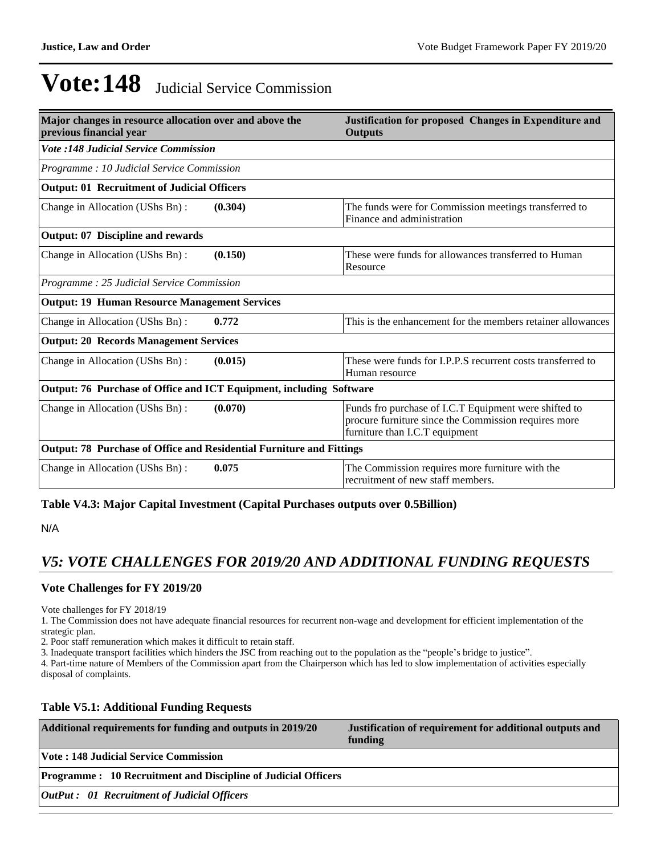| Major changes in resource allocation over and above the<br>previous financial year | Justification for proposed Changes in Expenditure and<br><b>Outputs</b>                                                                         |  |  |  |
|------------------------------------------------------------------------------------|-------------------------------------------------------------------------------------------------------------------------------------------------|--|--|--|
| <b>Vote :148 Judicial Service Commission</b>                                       |                                                                                                                                                 |  |  |  |
| Programme : 10 Judicial Service Commission                                         |                                                                                                                                                 |  |  |  |
| <b>Output: 01 Recruitment of Judicial Officers</b>                                 |                                                                                                                                                 |  |  |  |
| Change in Allocation (UShs Bn):<br>(0.304)                                         | The funds were for Commission meetings transferred to<br>Finance and administration                                                             |  |  |  |
| <b>Output: 07 Discipline and rewards</b>                                           |                                                                                                                                                 |  |  |  |
| (0.150)<br>Change in Allocation (UShs Bn):                                         | These were funds for allowances transferred to Human<br>Resource                                                                                |  |  |  |
| Programme : 25 Judicial Service Commission                                         |                                                                                                                                                 |  |  |  |
| <b>Output: 19 Human Resource Management Services</b>                               |                                                                                                                                                 |  |  |  |
| Change in Allocation (UShs Bn):<br>0.772                                           | This is the enhancement for the members retainer allowances                                                                                     |  |  |  |
| <b>Output: 20 Records Management Services</b>                                      |                                                                                                                                                 |  |  |  |
| Change in Allocation (UShs Bn):<br>(0.015)                                         | These were funds for LP.P.S recurrent costs transferred to<br>Human resource                                                                    |  |  |  |
| Output: 76 Purchase of Office and ICT Equipment, including Software                |                                                                                                                                                 |  |  |  |
| Change in Allocation (UShs Bn):<br>(0.070)                                         | Funds fro purchase of I.C.T Equipment were shifted to<br>procure furniture since the Commission requires more<br>furniture than I.C.T equipment |  |  |  |
| Output: 78 Purchase of Office and Residential Furniture and Fittings               |                                                                                                                                                 |  |  |  |
| 0.075<br>Change in Allocation (UShs Bn):                                           | The Commission requires more furniture with the<br>recruitment of new staff members.                                                            |  |  |  |

## **Table V4.3: Major Capital Investment (Capital Purchases outputs over 0.5Billion)**

N/A

## *V5: VOTE CHALLENGES FOR 2019/20 AND ADDITIONAL FUNDING REQUESTS*

## **Vote Challenges for FY 2019/20**

Vote challenges for FY 2018/19

1. The Commission does not have adequate financial resources for recurrent non-wage and development for efficient implementation of the strategic plan.

2. Poor staff remuneration which makes it difficult to retain staff.

3. Inadequate transport facilities which hinders the JSC from reaching out to the population as the "people's bridge to justice".

4. Part-time nature of Members of the Commission apart from the Chairperson which has led to slow implementation of activities especially disposal of complaints.

## **Table V5.1: Additional Funding Requests**

| Additional requirements for funding and outputs in 2019/20           | Justification of requirement for additional outputs and<br>funding |
|----------------------------------------------------------------------|--------------------------------------------------------------------|
| <b>Vote: 148 Judicial Service Commission</b>                         |                                                                    |
| <b>Programme: 10 Recruitment and Discipline of Judicial Officers</b> |                                                                    |
| <b>OutPut :</b> 01 Recruitment of Judicial Officers                  |                                                                    |